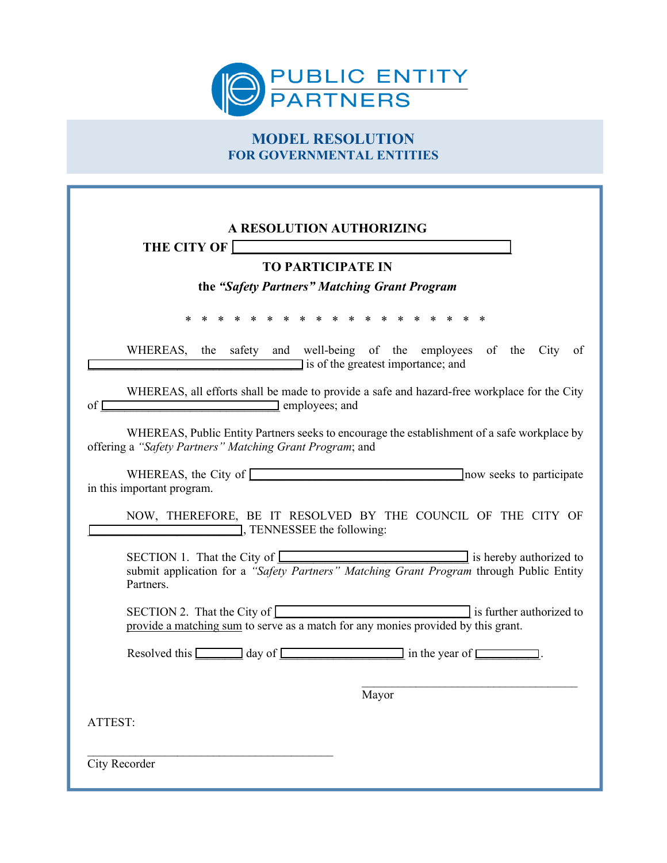

## **MODEL RESOLUTION FOR GOVERNMENTAL ENTITIES**

| A RESOLUTION AUTHORIZING<br>THE CITY OF                                                                                                                                           |
|-----------------------------------------------------------------------------------------------------------------------------------------------------------------------------------|
| <b>TO PARTICIPATE IN</b>                                                                                                                                                          |
| the "Safety Partners" Matching Grant Program                                                                                                                                      |
| * * * * * * * * * * * * * *<br>*                                                                                                                                                  |
| WHEREAS, the safety and well-being of the employees of the City of<br>I is of the greatest importance; and                                                                        |
| WHEREAS, all efforts shall be made to provide a safe and hazard-free workplace for the City<br>employees; and<br>$\sigma$ f                                                       |
| WHEREAS, Public Entity Partners seeks to encourage the establishment of a safe workplace by<br>offering a "Safety Partners" Matching Grant Program; and                           |
| WHEREAS, the City of<br>now seeks to participate<br>in this important program.                                                                                                    |
| NOW, THEREFORE, BE IT RESOLVED BY THE COUNCIL OF THE CITY OF<br>TENNESSEE the following:                                                                                          |
| SECTION 1. That the City of <u>Communications</u> is hereby authorized to<br>submit application for a "Safety Partners" Matching Grant Program through Public Entity<br>Partners. |
| SECTION 2. That the City of <u>serve as a match for any monies</u> provided by this grant.                                                                                        |
| Resolved this $\Box$ day of $\Box$ in the year of $\Box$ .                                                                                                                        |
| Mayor                                                                                                                                                                             |
| ATTEST:                                                                                                                                                                           |
| City Recorder                                                                                                                                                                     |